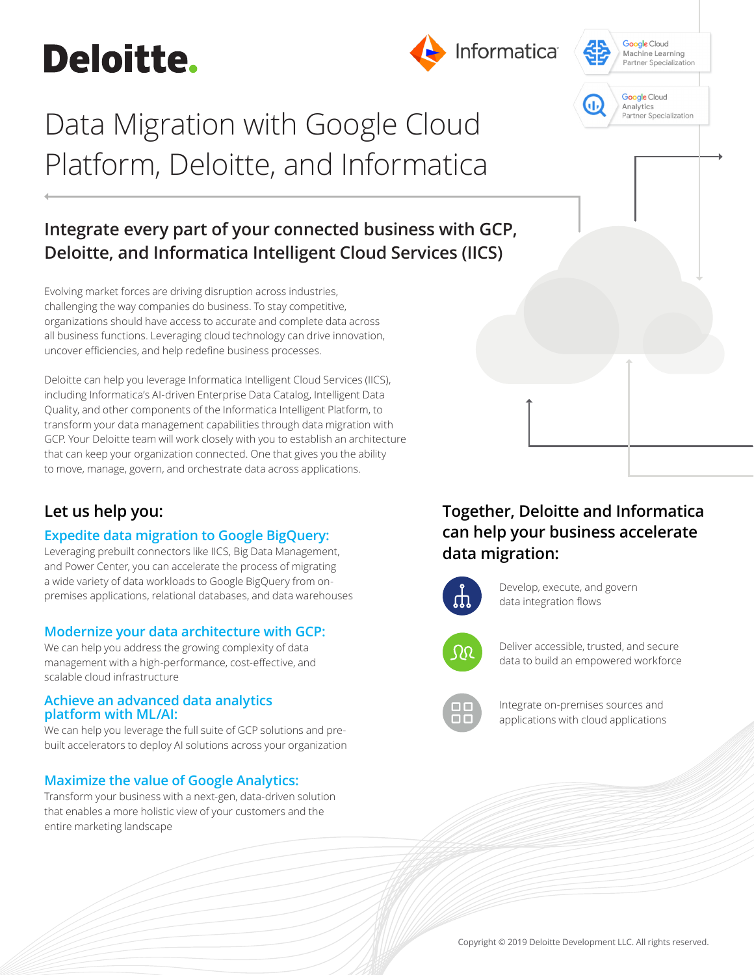# **Deloitte.**

## Informatica





## Data Migration with Google Cloud Platform, Deloitte, and Informatica

## **Integrate every part of your connected business with GCP, Deloitte, and Informatica Intelligent Cloud Services (IICS)**

Evolving market forces are driving disruption across industries, challenging the way companies do business. To stay competitive, organizations should have access to accurate and complete data across all business functions. Leveraging cloud technology can drive innovation, uncover efficiencies, and help redefine business processes.

Deloitte can help you leverage Informatica Intelligent Cloud Services (IICS), including Informatica's AI-driven Enterprise Data Catalog, Intelligent Data Quality, and other components of the Informatica Intelligent Platform, to transform your data management capabilities through data migration with GCP. Your Deloitte team will work closely with you to establish an architecture that can keep your organization connected. One that gives you the ability to move, manage, govern, and orchestrate data across applications.

### **Let us help you:**

#### **Expedite data migration to Google BigQuery:**

Leveraging prebuilt connectors like IICS, Big Data Management, and Power Center, you can accelerate the process of migrating a wide variety of data workloads to Google BigQuery from onpremises applications, relational databases, and data warehouses

#### **Modernize your data architecture with GCP:**

We can help you address the growing complexity of data management with a high-performance, cost-effective, and scalable cloud infrastructure

#### **Achieve an advanced data analytics platform with ML/AI:**

We can help you leverage the full suite of GCP solutions and prebuilt accelerators to deploy AI solutions across your organization

#### **Maximize the value of Google Analytics:**

Transform your business with a next-gen, data-driven solution that enables a more holistic view of your customers and the entire marketing landscape

### **Together, Deloitte and Informatica can help your business accelerate data migration:**



Develop, execute, and govern data integration flows



Deliver accessible, trusted, and secure data to build an empowered workforce



Integrate on-premises sources and applications with cloud applications